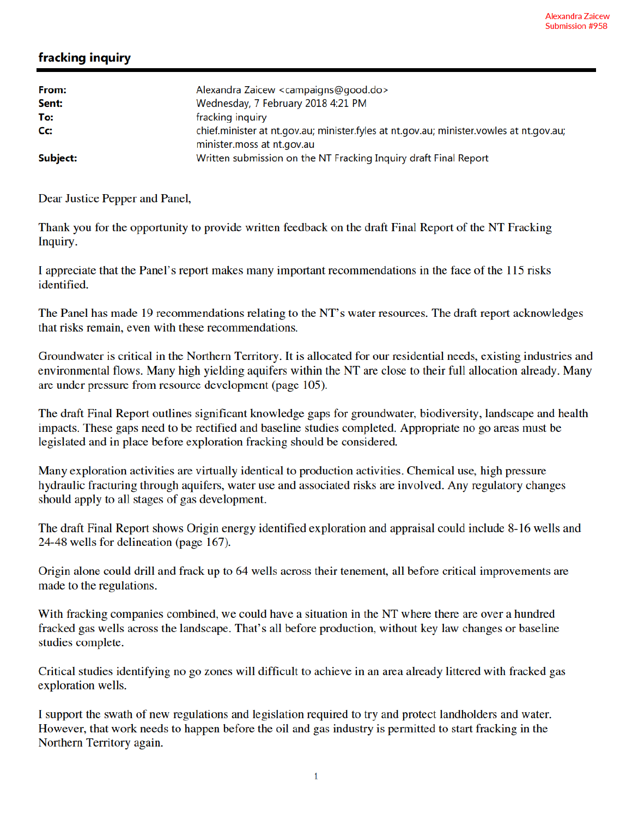## fracking inquiry

| From:    | Alexandra Zaicew <campaigns@good.do></campaigns@good.do>                                       |
|----------|------------------------------------------------------------------------------------------------|
| Sent:    | Wednesday, 7 February 2018 4:21 PM                                                             |
| To:      | fracking inquiry                                                                               |
| Cc:      | chief.minister at nt.gov.au; minister.fyles at nt.gov.au; minister.vowles at nt.gov.au;        |
| Subject: | minister.moss at nt.gov.au<br>Written submission on the NT Fracking Inquiry draft Final Report |

Dear Justice Pepper and Panel,

Thank you for the opportunity to provide written feedback on the draft Final Report of the NT Fracking Inquiry.

I appreciate that the Panel's report makes many important recommendations in the face of the 115 risks identified.

The Panel has made 19 recommendations relating to the NT's water resources. The draft report acknowledges that risks remain, even with these recommendations.

Groundwater is critical in the Northern Territory. It is allocated for our residential needs, existing industries and environmental flows. Many high yielding aquifers within the NT are close to their full allocation already. Many are under pressure from resource development (page 105).

The draft Final Report outlines significant knowledge gaps for groundwater, biodiversity, landscape and health impacts. These gaps need to be rectified and baseline studies completed. Appropriate no go areas must be legislated and in place before exploration fracking should be considered.

Many exploration activities are virtually identical to production activities. Chemical use, high pressure hydraulic fracturing through aquifers, water use and associated risks are involved. Any regulatory changes should apply to all stages of gas development.

The draft Final Report shows Origin energy identified exploration and appraisal could include 8-16 wells and 24-48 wells for delineation (page 167).

Origin alone could drill and frack up to 64 wells across their tenement, all before critical improvements are made to the regulations.

With fracking companies combined, we could have a situation in the NT where there are over a hundred fracked gas wells across the landscape. That's all before production, without key law changes or baseline studies complete.

Critical studies identifying no go zones will difficult to achieve in an area already littered with fracked gas exploration wells.

I support the swath of new regulations and legislation required to try and protect landholders and water. However, that work needs to happen before the oil and gas industry is permitted to start fracking in the Northern Territory again.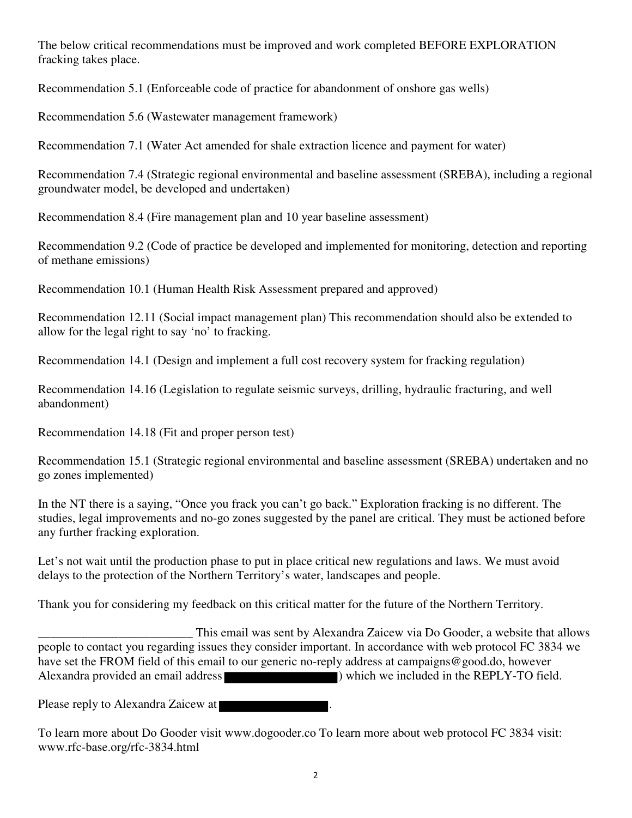The below critical recommendations must be improved and work completed BEFORE EXPLORATION fracking takes place.

Recommendation 5.1 (Enforceable code of practice for abandonment of onshore gas wells)

Recommendation 5.6 (Wastewater management framework)

Recommendation 7.1 (Water Act amended for shale extraction licence and payment for water)

Recommendation 7.4 (Strategic regional environmental and baseline assessment (SREBA), including a regional groundwater model, be developed and undertaken)

Recommendation 8.4 (Fire management plan and 10 year baseline assessment)

Recommendation 9.2 (Code of practice be developed and implemented for monitoring, detection and reporting of methane emissions)

Recommendation 10.1 (Human Health Risk Assessment prepared and approved)

Recommendation 12.11 (Social impact management plan) This recommendation should also be extended to allow for the legal right to say 'no' to fracking.

Recommendation 14.1 (Design and implement a full cost recovery system for fracking regulation)

Recommendation 14.16 (Legislation to regulate seismic surveys, drilling, hydraulic fracturing, and well abandonment)

Recommendation 14.18 (Fit and proper person test)

Recommendation 15.1 (Strategic regional environmental and baseline assessment (SREBA) undertaken and no go zones implemented)

In the NT there is a saying, "Once you frack you can't go back." Exploration fracking is no different. The studies, legal improvements and no-go zones suggested by the panel are critical. They must be actioned before any further fracking exploration.

Let's not wait until the production phase to put in place critical new regulations and laws. We must avoid delays to the protection of the Northern Territory's water, landscapes and people.

Thank you for considering my feedback on this critical matter for the future of the Northern Territory.

This email was sent by Alexandra Zaicew via Do Gooder, a website that allows<br>people to contact you regarding issues they consider important. In accordance with web protocol FC 3834 we have set the FROM field of this email to our generic no-reply address at campaigns@good.do, however Alexandra provided an email address ) which we included in the REPLY-TO field.

Please reply to Alexandra Zaicew at

To learn more about Do Gooder visit www.dogooder.co To learn more about web protocol FC 3834 visit: www.rfc-base.org/rfc-3834.html